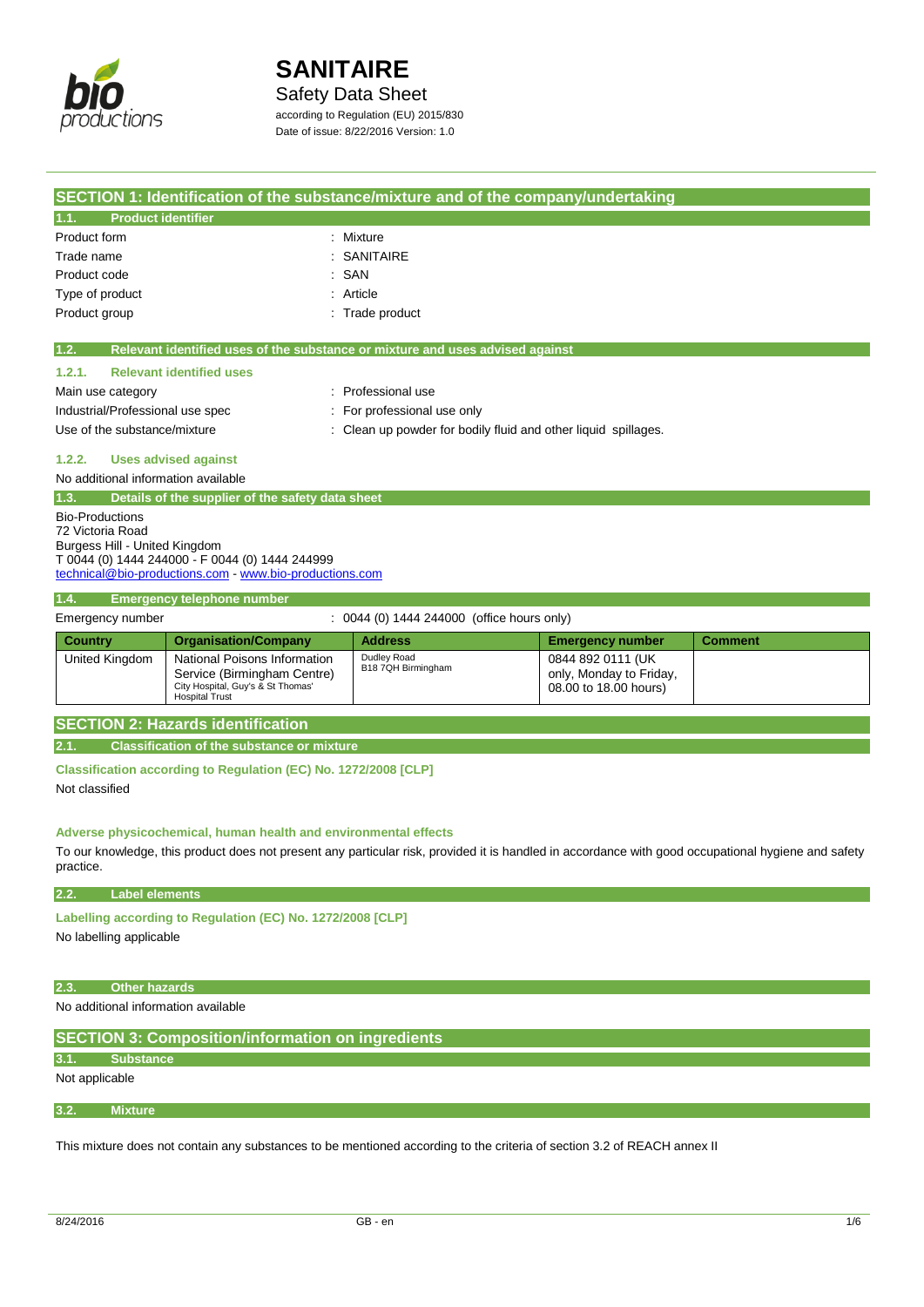

## Safety Data Sheet

according to Regulation (EU) 2015/830 Date of issue: 8/22/2016 Version: 1.0

| SECTION 1: Identification of the substance/mixture and of the company/undertaking                                                                                                         |                                 |                                                                               |                         |                |
|-------------------------------------------------------------------------------------------------------------------------------------------------------------------------------------------|---------------------------------|-------------------------------------------------------------------------------|-------------------------|----------------|
| <b>Product identifier</b><br>1.1.                                                                                                                                                         |                                 |                                                                               |                         |                |
| Product form                                                                                                                                                                              |                                 | Mixture                                                                       |                         |                |
| Trade name                                                                                                                                                                                |                                 | <b>SANITAIRE</b>                                                              |                         |                |
| Product code                                                                                                                                                                              |                                 | SAN                                                                           |                         |                |
| Type of product                                                                                                                                                                           |                                 | : Article                                                                     |                         |                |
| Product group                                                                                                                                                                             |                                 | Trade product                                                                 |                         |                |
|                                                                                                                                                                                           |                                 |                                                                               |                         |                |
| 1.2.                                                                                                                                                                                      |                                 | Relevant identified uses of the substance or mixture and uses advised against |                         |                |
| 1.2.1.                                                                                                                                                                                    | <b>Relevant identified uses</b> |                                                                               |                         |                |
| Professional use<br>Main use category                                                                                                                                                     |                                 |                                                                               |                         |                |
| Industrial/Professional use spec<br>For professional use only                                                                                                                             |                                 |                                                                               |                         |                |
| Use of the substance/mixture                                                                                                                                                              |                                 | Clean up powder for bodily fluid and other liquid spillages.                  |                         |                |
| <b>Uses advised against</b><br>1.2.2.                                                                                                                                                     |                                 |                                                                               |                         |                |
| No additional information available                                                                                                                                                       |                                 |                                                                               |                         |                |
| 1.3.<br>Details of the supplier of the safety data sheet                                                                                                                                  |                                 |                                                                               |                         |                |
| <b>Bio-Productions</b><br>72 Victoria Road<br>Burgess Hill - United Kingdom<br>T 0044 (0) 1444 244000 - F 0044 (0) 1444 244999<br>technical@bio-productions.com - www.bio-productions.com |                                 |                                                                               |                         |                |
| 1.4.<br><b>Emergency telephone number</b>                                                                                                                                                 |                                 |                                                                               |                         |                |
| Emergency number                                                                                                                                                                          |                                 | : 0044 (0) 1444 244000 (office hours only)                                    |                         |                |
| <b>Country</b>                                                                                                                                                                            | <b>Organisation/Company</b>     | <b>Address</b>                                                                | <b>Emergency number</b> | <b>Comment</b> |

| <b>Country</b> | Organisation/Company                                                                                                      | <b>Address</b>                    | <b>Emergency number</b>                                               | Comment |
|----------------|---------------------------------------------------------------------------------------------------------------------------|-----------------------------------|-----------------------------------------------------------------------|---------|
| United Kingdom | National Poisons Information<br>Service (Birmingham Centre)<br>City Hospital, Guy's & St Thomas'<br><b>Hospital Trust</b> | Dudley Road<br>B18 7QH Birmingham | 0844 892 0111 (UK<br>only, Monday to Friday,<br>08.00 to 18.00 hours) |         |
|                |                                                                                                                           |                                   |                                                                       |         |

## **SECTION 2: Hazards identification**

**2.1. Classification of the substance or mixture**

**Classification according to Regulation (EC) No. 1272/2008 [CLP]** Not classified

## **Adverse physicochemical, human health and environmental effects**

To our knowledge, this product does not present any particular risk, provided it is handled in accordance with good occupational hygiene and safety practice.

## **2.2. Label elements**

**Labelling according to Regulation (EC) No. 1272/2008 [CLP]** 

No labelling applicable

## **2.3. Other hazards**

No additional information available

| SECTION 3: Composition/information on ingredients |
|---------------------------------------------------|
|---------------------------------------------------|

## **3.1. Substance**

Not applicable

**3.2. Mixture**

This mixture does not contain any substances to be mentioned according to the criteria of section 3.2 of REACH annex II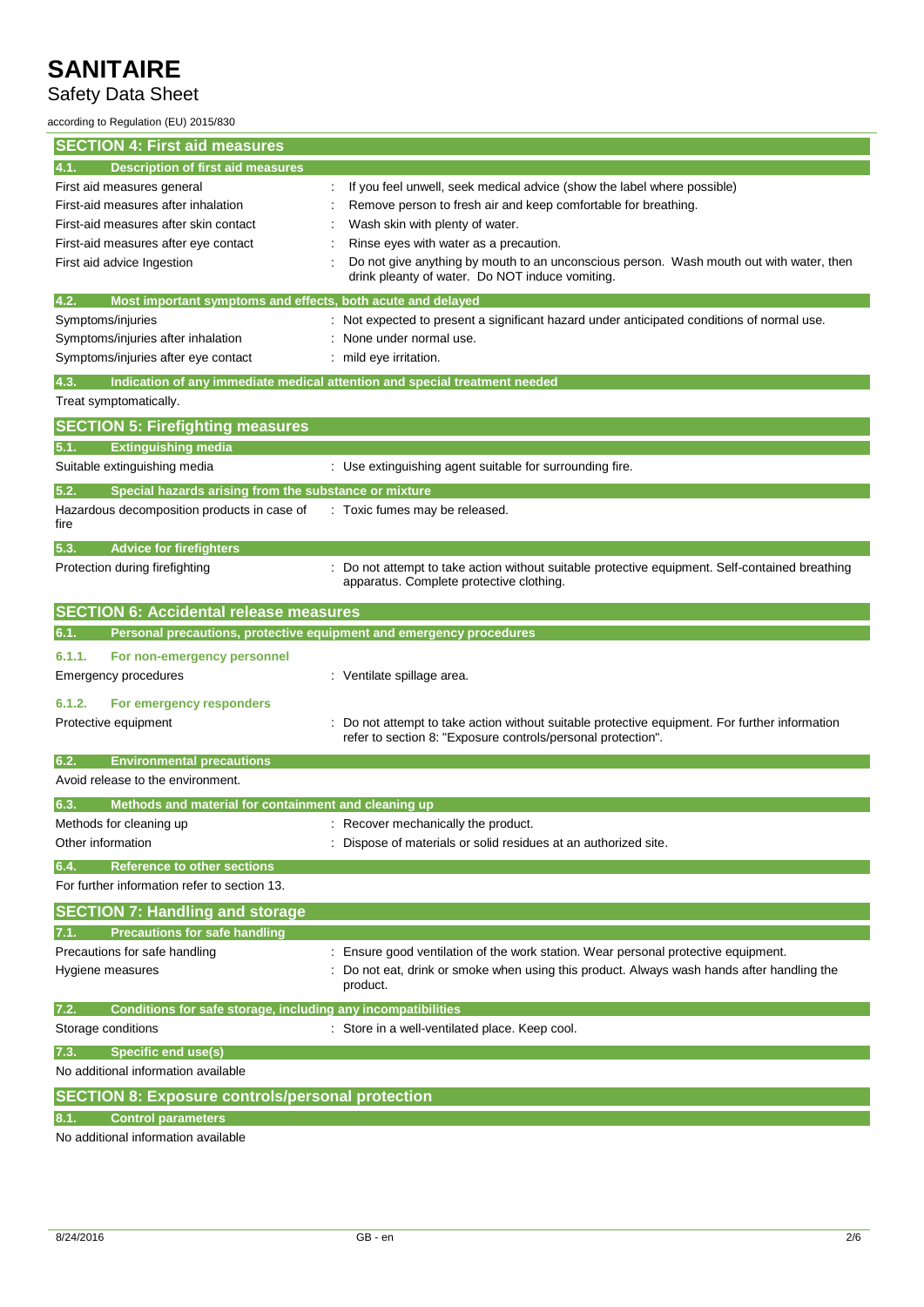# Safety Data Sheet

according to Regulation (EU) 2015/830

| <b>SECTION 4: First aid measures</b>                                          |                                                                                                                                             |
|-------------------------------------------------------------------------------|---------------------------------------------------------------------------------------------------------------------------------------------|
| <b>Description of first aid measures</b><br>4.1.                              |                                                                                                                                             |
| First aid measures general                                                    | If you feel unwell, seek medical advice (show the label where possible)                                                                     |
| First-aid measures after inhalation                                           | Remove person to fresh air and keep comfortable for breathing.                                                                              |
| First-aid measures after skin contact                                         | Wash skin with plenty of water.                                                                                                             |
| First-aid measures after eye contact                                          | Rinse eyes with water as a precaution.                                                                                                      |
| First aid advice Ingestion                                                    | Do not give anything by mouth to an unconscious person. Wash mouth out with water, then<br>drink pleanty of water. Do NOT induce vomiting.  |
| Most important symptoms and effects, both acute and delayed<br>4.2.           |                                                                                                                                             |
| Symptoms/injuries                                                             | : Not expected to present a significant hazard under anticipated conditions of normal use.                                                  |
| Symptoms/injuries after inhalation                                            | None under normal use.                                                                                                                      |
| Symptoms/injuries after eye contact                                           | : mild eye irritation.                                                                                                                      |
| 4.3.                                                                          | Indication of any immediate medical attention and special treatment needed                                                                  |
| Treat symptomatically.                                                        |                                                                                                                                             |
| <b>SECTION 5: Firefighting measures</b>                                       |                                                                                                                                             |
| <b>Extinguishing media</b><br>5.1.                                            |                                                                                                                                             |
| Suitable extinguishing media                                                  | : Use extinguishing agent suitable for surrounding fire.                                                                                    |
| 5.2.<br>Special hazards arising from the substance or mixture                 |                                                                                                                                             |
| Hazardous decomposition products in case of<br>fire                           | : Toxic fumes may be released.                                                                                                              |
| <b>Advice for firefighters</b><br>5.3.                                        |                                                                                                                                             |
| Protection during firefighting                                                | : Do not attempt to take action without suitable protective equipment. Self-contained breathing<br>apparatus. Complete protective clothing. |
| <b>SECTION 6: Accidental release measures</b>                                 |                                                                                                                                             |
| Personal precautions, protective equipment and emergency procedures<br>6.1.   |                                                                                                                                             |
| 6.1.1.<br>For non-emergency personnel                                         |                                                                                                                                             |
| Emergency procedures                                                          | : Ventilate spillage area.                                                                                                                  |
|                                                                               |                                                                                                                                             |
| 6.1.2.<br>For emergency responders<br>Protective equipment                    | Do not attempt to take action without suitable protective equipment. For further information                                                |
|                                                                               | refer to section 8: "Exposure controls/personal protection".                                                                                |
| 6.2.<br><b>Environmental precautions</b><br>Avoid release to the environment. |                                                                                                                                             |
|                                                                               |                                                                                                                                             |
| 6.3.<br>Methods and material for containment and cleaning up                  |                                                                                                                                             |
| Methods for cleaning up                                                       | : Recover mechanically the product.                                                                                                         |
| Other information                                                             | Dispose of materials or solid residues at an authorized site.                                                                               |
| <b>Reference to other sections</b><br>6.4.                                    |                                                                                                                                             |
| For further information refer to section 13.                                  |                                                                                                                                             |
| <b>SECTION 7: Handling and storage</b>                                        |                                                                                                                                             |
| <b>Precautions for safe handling</b>                                          |                                                                                                                                             |
| Precautions for safe handling                                                 | Ensure good ventilation of the work station. Wear personal protective equipment.                                                            |
| Hygiene measures                                                              | Do not eat, drink or smoke when using this product. Always wash hands after handling the<br>product.                                        |
| 7.2.<br>Conditions for safe storage, including any incompatibilities          |                                                                                                                                             |
| Storage conditions                                                            | : Store in a well-ventilated place. Keep cool.                                                                                              |
| Specific end use(s)<br>7.3.                                                   |                                                                                                                                             |
| No additional information available                                           |                                                                                                                                             |
| <b>SECTION 8: Exposure controls/personal protection</b>                       |                                                                                                                                             |
| <b>Control parameters</b>                                                     |                                                                                                                                             |
| No additional information available                                           |                                                                                                                                             |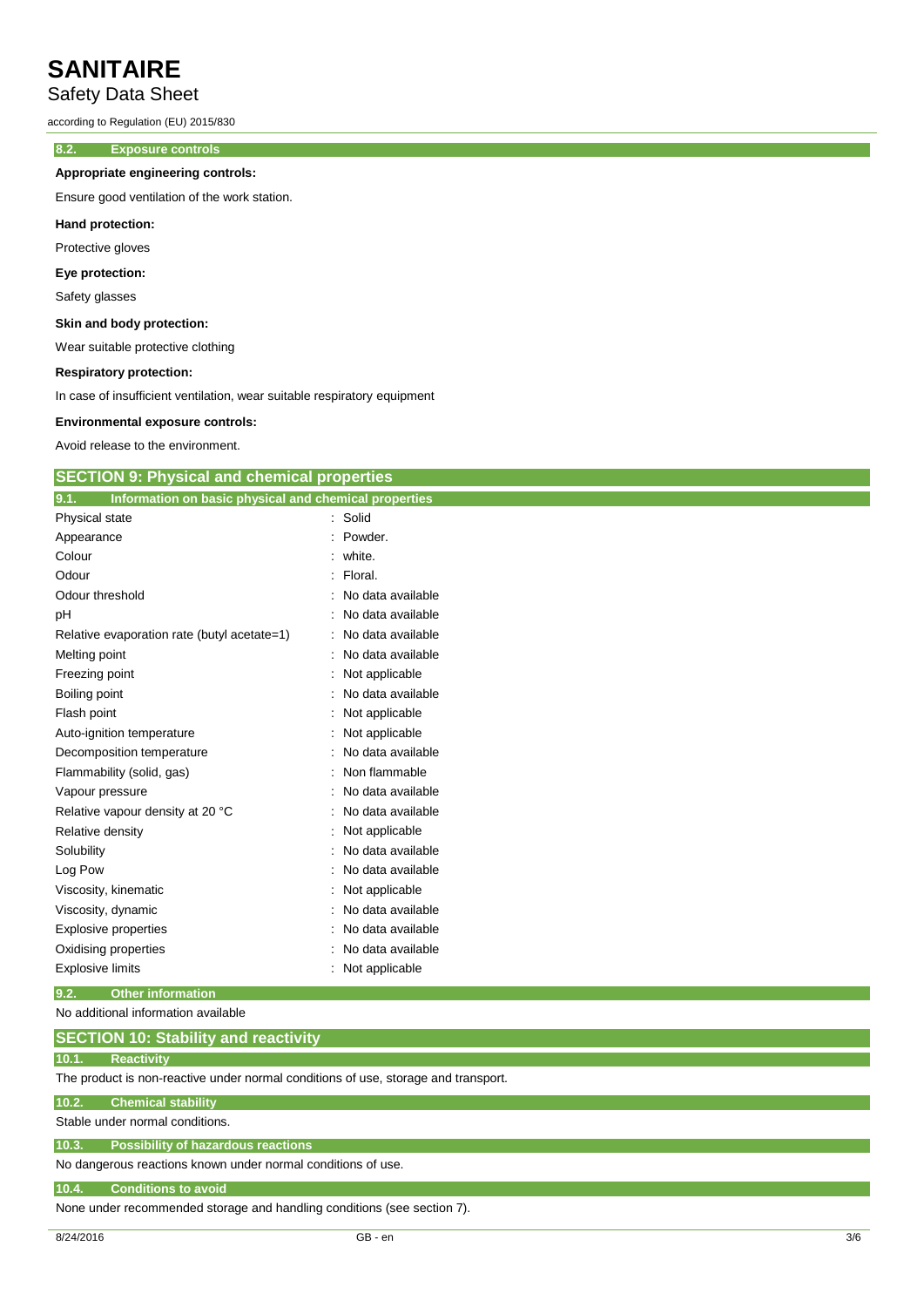## Safety Data Sheet

according to Regulation (EU) 2015/830

## **8.2. Exposure controls**

### **Appropriate engineering controls:**

Ensure good ventilation of the work station.

### **Hand protection:**

Protective gloves

## **Eye protection:**

Safety glasses

### **Skin and body protection:**

Wear suitable protective clothing

#### **Respiratory protection:**

In case of insufficient ventilation, wear suitable respiratory equipment

#### **Environmental exposure controls:**

Avoid release to the environment.

## **SECTION 9: Physical and chemical properties**

| 9.1.<br>Information on basic physical and chemical properties |                     |
|---------------------------------------------------------------|---------------------|
| Physical state                                                | : Solid             |
| Appearance                                                    | $:$ Powder.         |
| Colour                                                        | white.              |
| Odour                                                         | : Floral.           |
| Odour threshold                                               | : No data available |
| pH                                                            | No data available   |
| Relative evaporation rate (butyl acetate=1)                   | No data available   |
| Melting point                                                 | No data available   |
| Freezing point                                                | Not applicable      |
| Boiling point                                                 | No data available   |
| Flash point                                                   | Not applicable      |
| Auto-ignition temperature                                     | Not applicable      |
| Decomposition temperature                                     | No data available   |
| Flammability (solid, gas)                                     | Non flammable       |
| Vapour pressure                                               | No data available   |
| Relative vapour density at 20 °C                              | No data available   |
| Relative density                                              | Not applicable      |
| Solubility                                                    | No data available   |
| Log Pow                                                       | No data available   |
| Viscosity, kinematic                                          | Not applicable      |
| Viscosity, dynamic                                            | No data available   |
| <b>Explosive properties</b>                                   | No data available   |
| Oxidising properties                                          | No data available   |
| <b>Explosive limits</b>                                       | : Not applicable    |

### **9.2. Other information**

No additional information available

## **SECTION 10: Stability and reactivity**

## **10.1. Reactivity**

The product is non-reactive under normal conditions of use, storage and transport.

### **10.2. Chemical stability**

Stable under normal conditions.

# **10.3. Possibility of hazardous reactions**

No dangerous reactions known under normal conditions of use.

## **10.4. Conditions to avoid**

None under recommended storage and handling conditions (see section 7).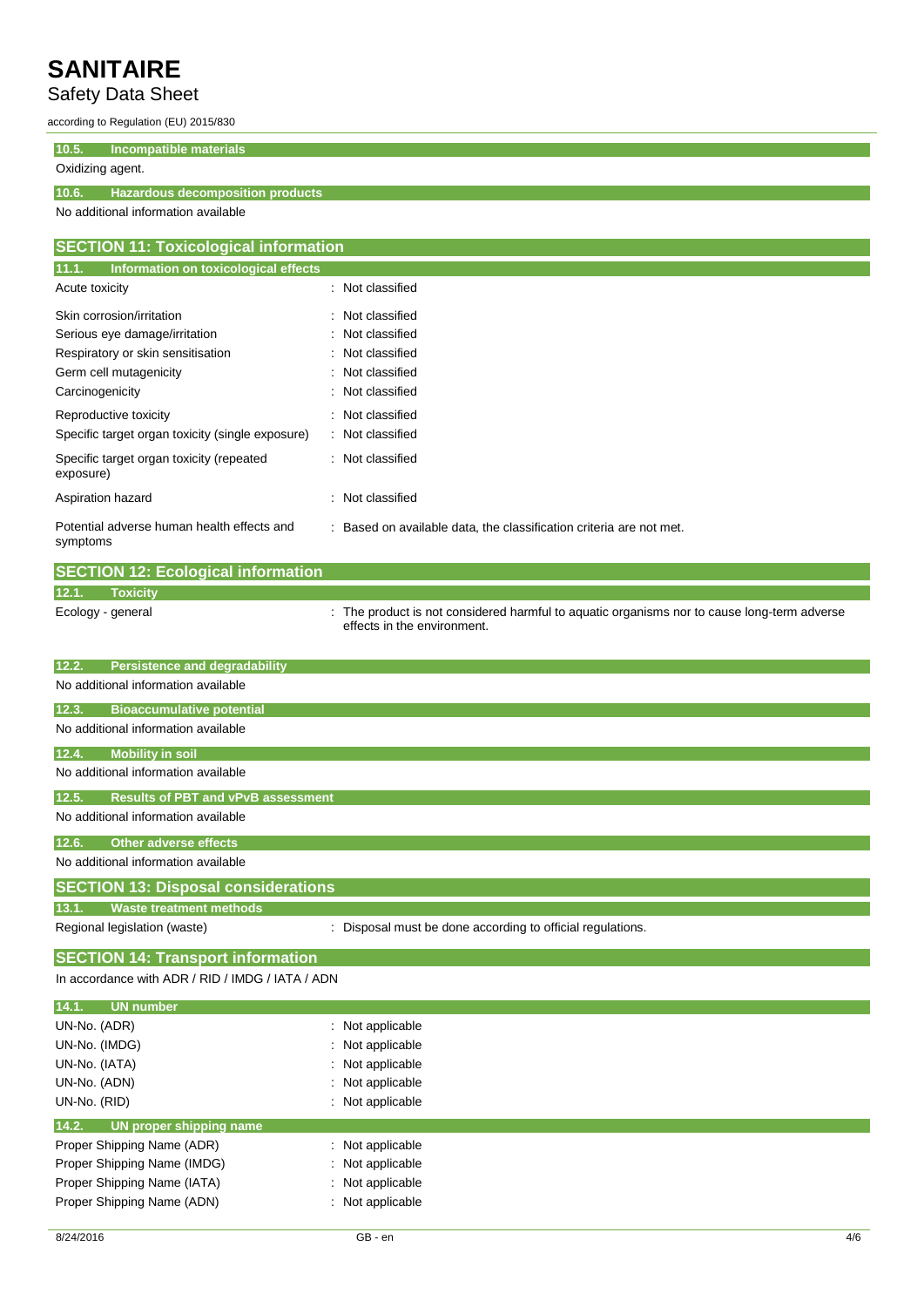## Safety Data Sheet

according to Regulation (EU) 2015/830

**10.5. Incompatible materials**

#### Oxidizing agent.

**10.6. Hazardous decomposition products**

No additional information available

| <b>SECTION 11: Toxicological information</b>           |                                                                     |  |  |
|--------------------------------------------------------|---------------------------------------------------------------------|--|--|
| 11.1.<br>Information on toxicological effects          |                                                                     |  |  |
| Acute toxicity                                         | : Not classified                                                    |  |  |
| Skin corrosion/irritation                              | : Not classified                                                    |  |  |
| Serious eye damage/irritation                          | : Not classified                                                    |  |  |
| Respiratory or skin sensitisation                      | : Not classified                                                    |  |  |
| Germ cell mutagenicity                                 | : Not classified                                                    |  |  |
| Carcinogenicity                                        | Not classified<br>÷                                                 |  |  |
| Reproductive toxicity                                  | Not classified<br>÷.                                                |  |  |
| Specific target organ toxicity (single exposure)       | : Not classified                                                    |  |  |
| Specific target organ toxicity (repeated<br>exposure)  | : Not classified                                                    |  |  |
| Aspiration hazard                                      | Not classified<br>÷                                                 |  |  |
| Potential adverse human health effects and<br>symptoms | : Based on available data, the classification criteria are not met. |  |  |

|       | <b>SECTION 12: Ecological information</b> |                                                                                                                            |
|-------|-------------------------------------------|----------------------------------------------------------------------------------------------------------------------------|
| 12.1. | Toxicity                                  |                                                                                                                            |
|       | Ecology - general                         | : The product is not considered harmful to aquatic organisms nor to cause long-term adverse<br>effects in the environment. |

| <b>Persistence and degradability</b><br>12.2.      |                                                            |
|----------------------------------------------------|------------------------------------------------------------|
| No additional information available                |                                                            |
| <b>Bioaccumulative potential</b><br>12.3.          |                                                            |
| No additional information available                |                                                            |
| <b>Mobility in soil</b><br>12.4.                   |                                                            |
|                                                    |                                                            |
| No additional information available                |                                                            |
| <b>Results of PBT and vPvB assessment</b><br>12.5. |                                                            |
| No additional information available                |                                                            |
| <b>Other adverse effects</b><br>12.6.              |                                                            |
|                                                    |                                                            |
| No additional information available                |                                                            |
| <b>SECTION 13: Disposal considerations</b>         |                                                            |
| 13.1.<br><b>Waste treatment methods</b>            |                                                            |
| Regional legislation (waste)                       | : Disposal must be done according to official regulations. |
|                                                    |                                                            |

## **SECTION 14: Transport information**

In accordance with ADR / RID / IMDG / IATA / ADN

| 14.1.<br><b>UN number</b>        |                             |
|----------------------------------|-----------------------------|
| UN-No. (ADR)                     | $\therefore$ Not applicable |
| UN-No. (IMDG)                    | : Not applicable            |
| UN-No. (IATA)                    | : Not applicable            |
| UN-No. (ADN)                     | : Not applicable            |
| UN-No. (RID)                     | : Not applicable            |
|                                  |                             |
| 14.2.<br>UN proper shipping name |                             |
| Proper Shipping Name (ADR)       | $\therefore$ Not applicable |
| Proper Shipping Name (IMDG)      | Not applicable              |
| Proper Shipping Name (IATA)      | : Not applicable            |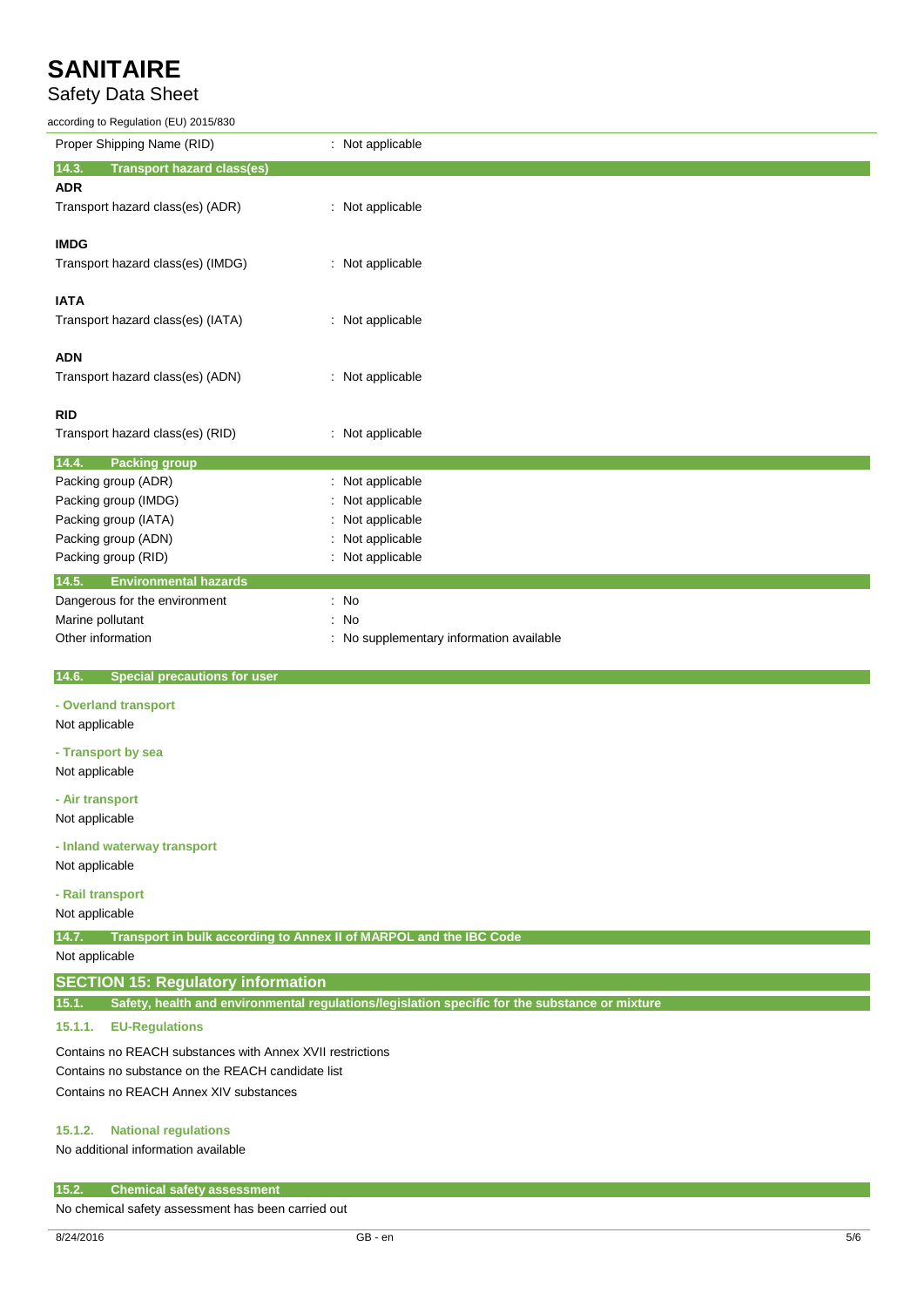## Safety Data Sheet

according to Regulation (EU) 2015/830

| according to Regulation (EU) 2015/830                                       |                                                                                                |
|-----------------------------------------------------------------------------|------------------------------------------------------------------------------------------------|
| Proper Shipping Name (RID)                                                  | : Not applicable                                                                               |
| 14.3.<br><b>Transport hazard class(es)</b>                                  |                                                                                                |
| <b>ADR</b>                                                                  |                                                                                                |
| Transport hazard class(es) (ADR)                                            | : Not applicable                                                                               |
| <b>IMDG</b>                                                                 |                                                                                                |
| Transport hazard class(es) (IMDG)                                           | : Not applicable                                                                               |
|                                                                             |                                                                                                |
| <b>IATA</b>                                                                 |                                                                                                |
| Transport hazard class(es) (IATA)                                           | : Not applicable                                                                               |
|                                                                             |                                                                                                |
| ADN                                                                         |                                                                                                |
| Transport hazard class(es) (ADN)                                            | : Not applicable                                                                               |
| RID                                                                         |                                                                                                |
| Transport hazard class(es) (RID)                                            | : Not applicable                                                                               |
|                                                                             |                                                                                                |
| <b>Packing group</b><br>14.4.<br>Packing group (ADR)                        | Not applicable                                                                                 |
| Packing group (IMDG)                                                        | Not applicable                                                                                 |
|                                                                             | Not applicable                                                                                 |
| Packing group (IATA)                                                        |                                                                                                |
| Packing group (ADN)                                                         | Not applicable                                                                                 |
| Packing group (RID)                                                         | : Not applicable                                                                               |
| 14.5.<br><b>Environmental hazards</b>                                       |                                                                                                |
| Dangerous for the environment                                               | $\therefore$ No                                                                                |
| Marine pollutant                                                            | : No                                                                                           |
| Other information                                                           | : No supplementary information available                                                       |
| <b>Special precautions for user</b><br>14.6.                                |                                                                                                |
| - Overland transport                                                        |                                                                                                |
| Not applicable                                                              |                                                                                                |
| - Transport by sea                                                          |                                                                                                |
| Not applicable                                                              |                                                                                                |
| - Air transport                                                             |                                                                                                |
| Not applicable                                                              |                                                                                                |
|                                                                             |                                                                                                |
| - Inland waterway transport                                                 |                                                                                                |
| Not applicable                                                              |                                                                                                |
| - Rail transport                                                            |                                                                                                |
| Not applicable                                                              |                                                                                                |
| Transport in bulk according to Annex II of MARPOL and the IBC Code<br>14.7. |                                                                                                |
| Not applicable                                                              |                                                                                                |
| <b>SECTION 15: Regulatory information</b>                                   |                                                                                                |
| 15.1.                                                                       | Safety, health and environmental regulations/legislation specific for the substance or mixture |
| 15.1.1.<br><b>EU-Regulations</b>                                            |                                                                                                |

Contains no REACH substances with Annex XVII restrictions Contains no substance on the REACH candidate list Contains no REACH Annex XIV substances

## **15.1.2. National regulations**

No additional information available

#### **15.2. Chemical safety assessment**

No chemical safety assessment has been carried out